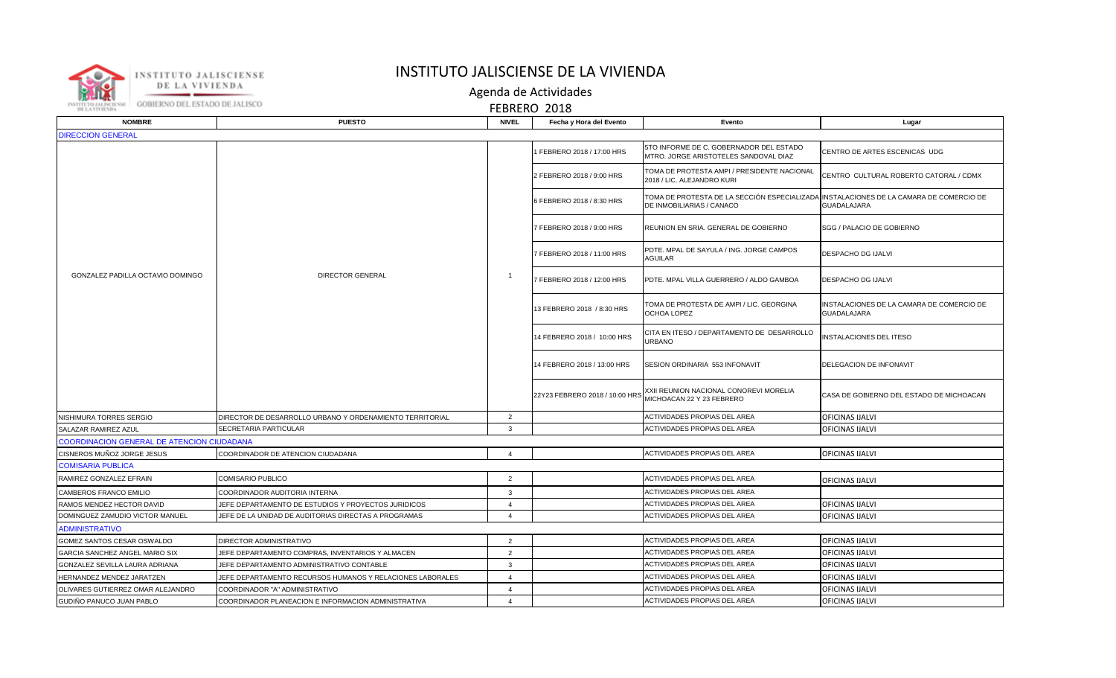

## INSTITUTO JALISCIENSE DE LA VIVIENDA

Agenda de Actividades

FEBRERO 2018

| <b>NOMBRE</b>                                     | <b>PUESTO</b>                                             | <b>NIVEL</b>   | Fecha y Hora del Evento        | Evento                                                                                                              | Lugar                                                           |  |  |  |
|---------------------------------------------------|-----------------------------------------------------------|----------------|--------------------------------|---------------------------------------------------------------------------------------------------------------------|-----------------------------------------------------------------|--|--|--|
| <b>DIRECCION GENERAL</b>                          |                                                           |                |                                |                                                                                                                     |                                                                 |  |  |  |
| GONZALEZ PADILLA OCTAVIO DOMINGO                  | DIRECTOR GENERAL                                          |                | FEBRERO 2018 / 17:00 HRS       | 5TO INFORME DE C. GOBERNADOR DEL ESTADO<br>MTRO. JORGE ARISTOTELES SANDOVAL DIAZ                                    | CENTRO DE ARTES ESCENICAS UDG                                   |  |  |  |
|                                                   |                                                           | $\mathbf{1}$   | 2 FEBRERO 2018 / 9:00 HRS      | TOMA DE PROTESTA AMPI / PRESIDENTE NACIONAL<br>2018 / LIC. ALEJANDRO KURI                                           | CENTRO CULTURAL ROBERTO CATORAL / CDMX                          |  |  |  |
|                                                   |                                                           |                | 6 FEBRERO 2018 / 8:30 HRS      | TOMA DE PROTESTA DE LA SECCIÓN ESPECIALIZADA INSTALACIONES DE LA CAMARA DE COMERCIO DE<br>DE INMOBILIARIAS / CANACO | <b>GUADALAJARA</b>                                              |  |  |  |
|                                                   |                                                           |                | FEBRERO 2018 / 9:00 HRS        | REUNION EN SRIA. GENERAL DE GOBIERNO                                                                                | SGG / PALACIO DE GOBIERNO                                       |  |  |  |
|                                                   |                                                           |                | FEBRERO 2018 / 11:00 HRS       | PDTE. MPAL DE SAYULA / ING. JORGE CAMPOS<br><b>AGUILAR</b>                                                          | <b>DESPACHO DG IJALVI</b>                                       |  |  |  |
|                                                   |                                                           |                | 7 FEBRERO 2018 / 12:00 HRS     | PDTE. MPAL VILLA GUERRERO / ALDO GAMBOA                                                                             | DESPACHO DG IJALVI                                              |  |  |  |
|                                                   |                                                           |                | 13 FEBRERO 2018 / 8:30 HRS     | TOMA DE PROTESTA DE AMPI / LIC. GEORGINA<br>OCHOA LOPEZ                                                             | INSTALACIONES DE LA CAMARA DE COMERCIO DE<br><b>GUADALAJARA</b> |  |  |  |
|                                                   |                                                           |                | 14 FEBRERO 2018 / 10:00 HRS    | CITA EN ITESO / DEPARTAMENTO DE DESARROLLO<br><b>JRBANO</b>                                                         | <b>INSTALACIONES DEL ITESO</b>                                  |  |  |  |
|                                                   |                                                           |                | 14 FEBRERO 2018 / 13:00 HRS    | SESION ORDINARIA 553 INFONAVIT                                                                                      | DELEGACION DE INFONAVIT                                         |  |  |  |
|                                                   |                                                           |                | 22Y23 FEBRERO 2018 / 10:00 HRS | XXII REUNION NACIONAL CONOREVI MORELIA<br>MICHOACAN 22 Y 23 FEBRERO                                                 | CASA DE GOBIERNO DEL ESTADO DE MICHOACAN                        |  |  |  |
| NISHIMURA TORRES SERGIO                           | DIRECTOR DE DESARROLLO URBANO Y ORDENAMIENTO TERRITORIAL  | 2              |                                | <b>ACTIVIDADES PROPIAS DEL AREA</b>                                                                                 | <b>OFICINAS IJALVI</b>                                          |  |  |  |
| SALAZAR RAMIREZ AZUL                              | SECRETARIA PARTICULAR                                     | 3              |                                | ACTIVIDADES PROPIAS DEL AREA                                                                                        | <b>OFICINAS IJALVI</b>                                          |  |  |  |
| <b>COORDINACION GENERAL DE ATENCION CIUDADANA</b> |                                                           |                |                                |                                                                                                                     |                                                                 |  |  |  |
| CISNEROS MUÑOZ JORGE JESUS                        | COORDINADOR DE ATENCION CIUDADANA                         | $\overline{4}$ |                                | <b>ACTIVIDADES PROPIAS DEL AREA</b>                                                                                 | OFICINAS IJALVI                                                 |  |  |  |
| <b>COMISARIA PUBLICA</b>                          |                                                           |                |                                |                                                                                                                     |                                                                 |  |  |  |
| RAMIREZ GONZALEZ EFRAIN                           | COMISARIO PUBLICO                                         | $\overline{2}$ |                                | <b>ACTIVIDADES PROPIAS DEL AREA</b>                                                                                 | <b>OFICINAS IJALVI</b>                                          |  |  |  |
| CAMBEROS FRANCO EMILIO                            | COORDINADOR AUDITORIA INTERNA                             | 3              |                                | <b>ACTIVIDADES PROPIAS DEL AREA</b>                                                                                 |                                                                 |  |  |  |
| RAMOS MENDEZ HECTOR DAVID                         | JEFE DEPARTAMENTO DE ESTUDIOS Y PROYECTOS JURIDICOS       |                |                                | <b>ACTIVIDADES PROPIAS DEL AREA</b>                                                                                 | OFICINAS IJALVI                                                 |  |  |  |
| DOMINGUEZ ZAMUDIO VICTOR MANUEL                   | JEFE DE LA UNIDAD DE AUDITORIAS DIRECTAS A PROGRAMAS      | $\overline{a}$ |                                | <b>ACTIVIDADES PROPIAS DEL AREA</b>                                                                                 | OFICINAS IJALVI                                                 |  |  |  |
| <b>ADMINISTRATIVO</b>                             |                                                           |                |                                |                                                                                                                     |                                                                 |  |  |  |
| GOMEZ SANTOS CESAR OSWALDO                        | DIRECTOR ADMINISTRATIVO                                   | $\overline{2}$ |                                | <b>ACTIVIDADES PROPIAS DEL AREA</b>                                                                                 | <b>OFICINAS IJALVI</b>                                          |  |  |  |
| GARCIA SANCHEZ ANGEL MARIO SIX                    | JEFE DEPARTAMENTO COMPRAS, INVENTARIOS Y ALMACEN          | $\overline{2}$ |                                | <b>ACTIVIDADES PROPIAS DEL AREA</b>                                                                                 | <b>OFICINAS IJALVI</b>                                          |  |  |  |
| GONZALEZ SEVILLA LAURA ADRIANA                    | JEFE DEPARTAMENTO ADMINISTRATIVO CONTABLE                 | 3              |                                | <b>ACTIVIDADES PROPIAS DEL AREA</b>                                                                                 | <b>OFICINAS IJALVI</b>                                          |  |  |  |
| HERNANDEZ MENDEZ JARATZEN                         | JEFE DEPARTAMENTO RECURSOS HUMANOS Y RELACIONES LABORALES | $\overline{A}$ |                                | <b>ACTIVIDADES PROPIAS DEL AREA</b>                                                                                 | OFICINAS IJALVI                                                 |  |  |  |
| OLIVARES GUTIERREZ OMAR ALEJANDRO                 | COORDINADOR "A" ADMINISTRATIVO                            | $\overline{a}$ |                                | <b>ACTIVIDADES PROPIAS DEL AREA</b>                                                                                 | OFICINAS IJALVI                                                 |  |  |  |
| GUDIÑO PANUCO JUAN PABLO                          | COORDINADOR PLANEACION E INFORMACION ADMINISTRATIVA       | $\Delta$       |                                | <b>ACTIVIDADES PROPIAS DEL AREA</b>                                                                                 | OFICINAS IJALVI                                                 |  |  |  |